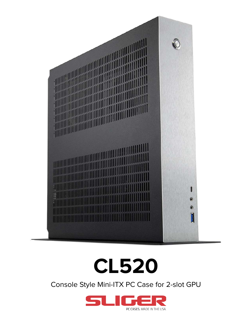

### **CL520**

Console Style Mini-ITX PC Case for 2-slot GPU

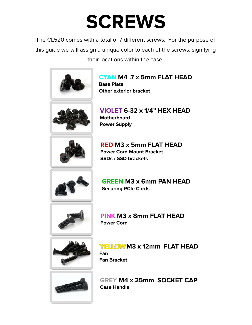#### **SCREWS**

The CL520 comes with a total of 7 different screws. For the purpose of this guide we will assign a unique color to each of the screws, signifying their locations within the case.



**CYAN M4 .7 x 5mm FLAT HEAD Base Plate Other exterior bracket**



**VIOLET 6-32 x 1/4" HEX HEAD Motherboard Power Supply**



**RED M3 x 5mm FLAT HEAD Power Cord Mount Bracket SSDs / SSD brackets**



**GREEN M3 x 6mm PAN HEAD Securing PCIe Cards**



**PINK M3 x 8mm FLAT HEAD Power Cord**



**YELLOW M3 x 12mm FLAT HEAD Fan Fan Bracket**



**GREY M4 x 25mm SOCKET CAP Case Handle**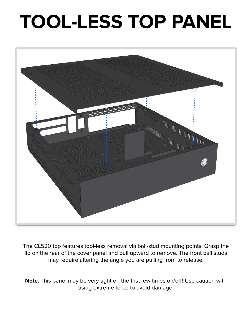### **TOOL-LESS TOP PANEL**



The CL520 top features tool-less removal via ball-stud mounting points. Grasp the lip on the rear of the cover panel and pull upward to remove. The front ball studs may require altering the angle you are pulling from to release.

**Note**: This panel may be very tight on the first few times on/off! Use caution with using extreme force to avoid damage.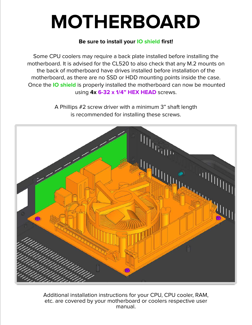#### **MOTHERBOARD**

#### **Be sure to install your IO shield first!**

Some CPU coolers may require a back plate installed before installing the motherboard. It is advised for the CL520 to also check that any M.2 mounts on the back of motherboard have drives installed before installation of the motherboard, as there are no SSD or HDD mounting points inside the case. Once the **IO shield** is properly installed the motherboard can now be mounted using **4x 6-32 x 1/4" HEX HEAD** screws.

> A Phillips #2 screw driver with a minimum 3" shaft length is recommended for installing these screws.



Additional installation instructions for your CPU, CPU cooler, RAM, etc. are covered by your motherboard or coolers respective user manual.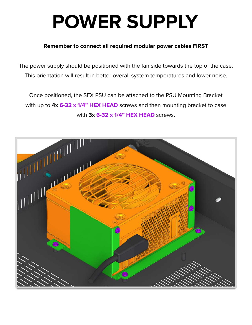### **POWER SUPPLY**

#### **Remember to connect all required modular power cables FIRST**

The power supply should be positioned with the fan side towards the top of the case. This orientation will result in better overall system temperatures and lower noise.

Once positioned, the SFX PSU can be attached to the PSU Mounting Bracket with up to **4x 6-32 x 1/4" HEX HEAD** screws and then mounting bracket to case with **3x 6-32 x 1/4" HEX HEAD** screws.

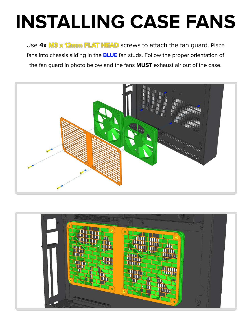# **INSTALLING CASE FANS**

Use **4x M3 x 12mm FLAT HEAD** screws to attach the fan guard. Place fans into chassis sliding in the **BLUE** fan studs. Follow the proper orientation of the fan guard in photo below and the fans **MUST** exhaust air out of the case.



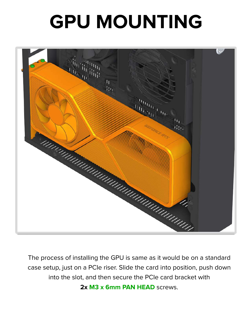## **GPU MOUNTING**



The process of installing the GPU is same as it would be on a standard case setup, just on a PCIe riser. Slide the card into position, push down into the slot, and then secure the PCIe card bracket with **2x M3 x 6mm PAN HEAD** screws.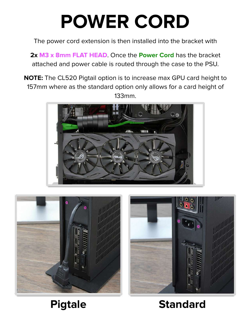### **POWER CORD**

The power cord extension is then installed into the bracket with

**2x M3 x 8mm FLAT HEAD**. Once the **Power Cord** has the bracket attached and power cable is routed through the case to the PSU.

**NOTE:** The CL520 Pigtail option is to increase max GPU card height to 157mm where as the standard option only allows for a card height of 133mm.







#### **Pigtale Standard**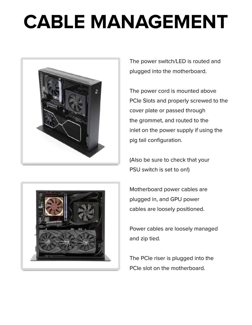## **CABLE MANAGEMENT**



The power switch/LED is routed and plugged into the motherboard.

The power cord is mounted above PCIe Slots and properly screwed to the cover plate or passed through the grommet, and routed to the inlet on the power supply if using the pig tail configuration.

(Also be sure to check that your PSU switch is set to on!)



Motherboard power cables are plugged in, and GPU power cables are loosely positioned.

Power cables are loosely managed and zip tied.

The PCIe riser is plugged into the PCIe slot on the motherboard.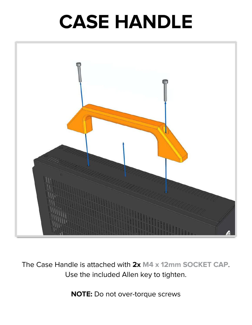#### **CASE HANDLE**



The Case Handle is attached with **2x M4 x 12mm SOCKET CAP**. Use the included Allen key to tighten.

**NOTE:** Do not over-torque screws